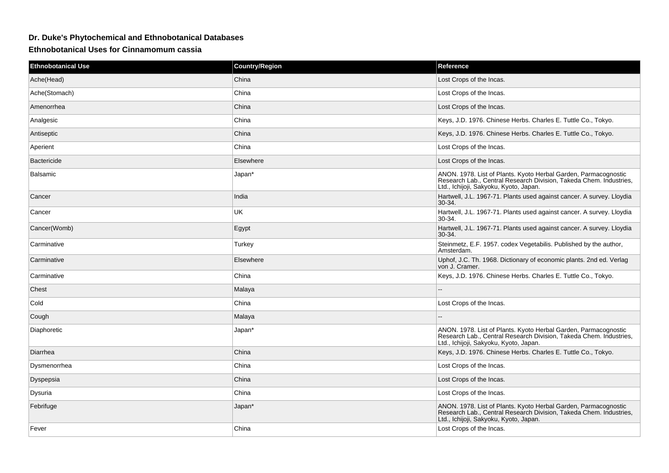## **Dr. Duke's Phytochemical and Ethnobotanical Databases**

**Ethnobotanical Uses for Cinnamomum cassia**

| <b>Ethnobotanical Use</b> | <b>Country/Region</b> | Reference                                                                                                                                                                       |
|---------------------------|-----------------------|---------------------------------------------------------------------------------------------------------------------------------------------------------------------------------|
| Ache(Head)                | China                 | Lost Crops of the Incas.                                                                                                                                                        |
| Ache(Stomach)             | China                 | Lost Crops of the Incas.                                                                                                                                                        |
| Amenorrhea                | China                 | Lost Crops of the Incas.                                                                                                                                                        |
| Analgesic                 | China                 | Keys, J.D. 1976. Chinese Herbs. Charles E. Tuttle Co., Tokyo.                                                                                                                   |
| Antiseptic                | China                 | Keys, J.D. 1976. Chinese Herbs. Charles E. Tuttle Co., Tokyo.                                                                                                                   |
| Aperient                  | China                 | Lost Crops of the Incas.                                                                                                                                                        |
| <b>Bactericide</b>        | Elsewhere             | Lost Crops of the Incas.                                                                                                                                                        |
| Balsamic                  | Japan*                | ANON. 1978. List of Plants. Kyoto Herbal Garden, Parmacognostic<br>Research Lab., Central Research Division, Takeda Chem. Industries,<br>Ltd., Ichijoji, Sakyoku, Kyoto, Japan. |
| Cancer                    | India                 | Hartwell, J.L. 1967-71. Plants used against cancer. A survey. Lloydia<br>$30-34.$                                                                                               |
| Cancer                    | <b>UK</b>             | Hartwell, J.L. 1967-71. Plants used against cancer. A survey. Lloydia<br>30-34.                                                                                                 |
| Cancer(Womb)              | Egypt                 | Hartwell, J.L. 1967-71. Plants used against cancer. A survey. Lloydia<br>30-34.                                                                                                 |
| Carminative               | Turkey                | Steinmetz, E.F. 1957. codex Vegetabilis. Published by the author,<br>Amsterdam.                                                                                                 |
| Carminative               | Elsewhere             | Uphof, J.C. Th. 1968. Dictionary of economic plants. 2nd ed. Verlag<br>von J. Cramer.                                                                                           |
| Carminative               | China                 | Keys, J.D. 1976. Chinese Herbs. Charles E. Tuttle Co., Tokyo.                                                                                                                   |
| Chest                     | Malaya                |                                                                                                                                                                                 |
| Cold                      | China                 | Lost Crops of the Incas.                                                                                                                                                        |
| Cough                     | Malaya                |                                                                                                                                                                                 |
| Diaphoretic               | Japan*                | ANON. 1978. List of Plants. Kyoto Herbal Garden, Parmacognostic<br>Research Lab., Central Research Division, Takeda Chem. Industries,<br>Ltd., Ichijoji, Sakyoku, Kyoto, Japan. |
| Diarrhea                  | China                 | Keys, J.D. 1976. Chinese Herbs. Charles E. Tuttle Co., Tokyo.                                                                                                                   |
| Dysmenorrhea              | China                 | Lost Crops of the Incas.                                                                                                                                                        |
| Dyspepsia                 | China                 | Lost Crops of the Incas.                                                                                                                                                        |
| Dysuria                   | China                 | Lost Crops of the Incas.                                                                                                                                                        |
| Febrifuge                 | Japan*                | ANON. 1978. List of Plants. Kyoto Herbal Garden, Parmacognostic<br>Research Lab., Central Research Division, Takeda Chem. Industries,<br>Ltd., Ichijoji, Sakyoku, Kyoto, Japan. |
| Fever                     | China                 | Lost Crops of the Incas.                                                                                                                                                        |